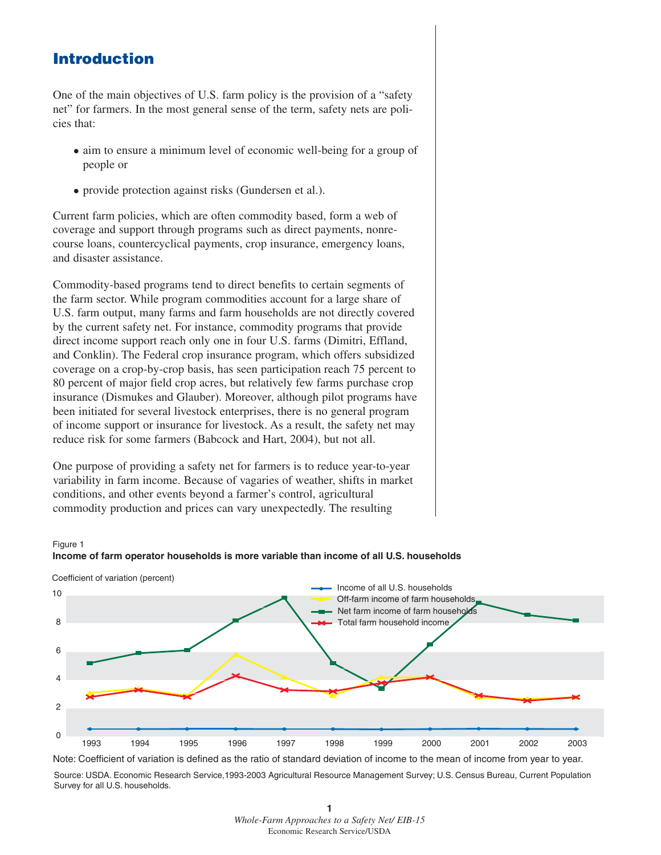## **Introduction**

One of the main objectives of U.S. farm policy is the provision of a "safety net" for farmers. In the most general sense of the term, safety nets are policies that:

- aim to ensure a minimum level of economic well-being for a group of people or
- provide protection against risks (Gundersen et al.).

Current farm policies, which are often commodity based, form a web of coverage and support through programs such as direct payments, nonrecourse loans, countercyclical payments, crop insurance, emergency loans, and disaster assistance.

Commodity-based programs tend to direct benefits to certain segments of the farm sector. While program commodities account for a large share of U.S. farm output, many farms and farm households are not directly covered by the current safety net. For instance, commodity programs that provide direct income support reach only one in four U.S. farms (Dimitri, Effland, and Conklin). The Federal crop insurance program, which offers subsidized coverage on a crop-by-crop basis, has seen participation reach 75 percent to 80 percent of major field crop acres, but relatively few farms purchase crop insurance (Dismukes and Glauber). Moreover, although pilot programs have been initiated for several livestock enterprises, there is no general program of income support or insurance for livestock. As a result, the safety net may reduce risk for some farmers (Babcock and Hart, 2004), but not all.

One purpose of providing a safety net for farmers is to reduce year-to-year variability in farm income. Because of vagaries of weather, shifts in market conditions, and other events beyond a farmer's control, agricultural commodity production and prices can vary unexpectedly. The resulting

## Figure 1



**Income of farm operator households is more variable than income of all U.S. households**

Source: USDA. Economic Research Service,1993-2003 Agricultural Resource Management Survey; U.S. Census Bureau, Current Population Survey for all U.S. households. Note: Coefficient of variation is defined as the ratio of standard deviation of income to the mean of income from year to year.